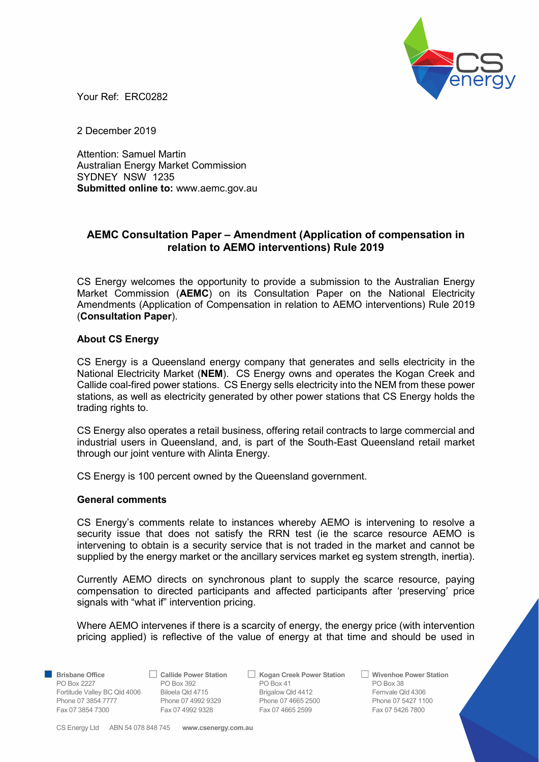

Your Ref: ERC0282

2 December 2019

Attention: Samuel Martin Australian Energy Market Commission SYDNEY NSW 1235 Submitted online to: www.aemc.gov.au

## AEMC Consultation Paper – Amendment (Application of compensation in relation to AEMO interventions) Rule 2019

CS Energy welcomes the opportunity to provide a submission to the Australian Energy Market Commission (**AEMC**) on its Consultation Paper on the National Electricity Amendments (Application of Compensation in relation to AEMO interventions) Rule 2019 (Consultation Paper).

## About CS Energy

CS Energy is a Queensland energy company that generates and sells electricity in the National Electricity Market (NEM). CS Energy owns and operates the Kogan Creek and Callide coal-fired power stations. CS Energy sells electricity into the NEM from these power stations, as well as electricity generated by other power stations that CS Energy holds the trading rights to.

CS Energy also operates a retail business, offering retail contracts to large commercial and industrial users in Queensland, and, is part of the South-East Queensland retail market through our joint venture with Alinta Energy.

CS Energy is 100 percent owned by the Queensland government.

## General comments

CS Energy's comments relate to instances whereby AEMO is intervening to resolve a security issue that does not satisfy the RRN test (ie the scarce resource AEMO is intervening to obtain is a security service that is not traded in the market and cannot be supplied by the energy market or the ancillary services market eg system strength, inertia).

Currently AEMO directs on synchronous plant to supply the scarce resource, paying compensation to directed participants and affected participants after 'preserving' price signals with "what if" intervention pricing.

Where AEMO intervenes if there is a scarcity of energy, the energy price (with intervention pricing applied) is reflective of the value of energy at that time and should be used in

■ Brisbane Office <br>
PO Box 392 PO Box 392 PO Box 41 PO Box 41 PO Box 38 PO Box 2227 PO Box 392 PO Box 3641 PO Box 383 Fortitude Valley BC Qld 4006 Biloela Qld 4715 Brigalow Qld 4412 Fernvale Qld 4306 Phone 07 3854 7777 Phone 07 4992 9329 Phone 07 4665 2500 Phone 07 3854 7777 Phone 07 4992 9328 Phone 07 5427 1100 Fax 07 3854 7300 Fax 07 4992 9328 Fax 07 4665 2599 Fax 07 5426 7800